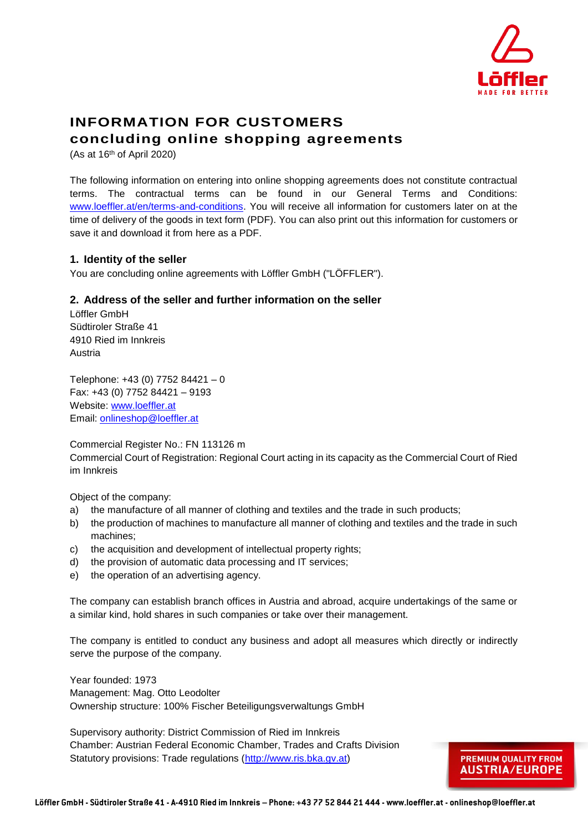

**PREMIUM QUALITY FROM AUSTRIA/EUROPE** 

# **INFORMATION FOR CUSTOMERS concluding online shopping agreements**

(As at  $16<sup>th</sup>$  of April 2020)

The following information on entering into online shopping agreements does not constitute contractual terms. The contractual terms can be found in our General Terms and Conditions: [www.loeffler.at/en/terms-](http://www.loeffler.at/en/terms)and-conditions. You will receive all information for customers later on at the time of delivery of the goods in text form (PDF). You can also print out this information for customers or save it and download it from here as a PDF.

# **1. Identity of the seller**

You are concluding online agreements with Löffler GmbH ("LÖFFLER").

### **2. Address of the seller and further information on the seller**

Löffler GmbH Südtiroler Straße 41 4910 Ried im Innkreis Austria

Telephone: +43 (0) 7752 84421 – 0 Fax: +43 (0) 7752 84421 – 9193 Website: [www.loeffler.at](http://www.loeffler.at/) Email: [onlineshop@loeffler.at](mailto:shop@loeffler.at)

Commercial Register No.: FN 113126 m

Commercial Court of Registration: Regional Court acting in its capacity as the Commercial Court of Ried im Innkreis

Object of the company:

- a) the manufacture of all manner of clothing and textiles and the trade in such products;
- b) the production of machines to manufacture all manner of clothing and textiles and the trade in such machines;
- c) the acquisition and development of intellectual property rights;
- d) the provision of automatic data processing and IT services;
- e) the operation of an advertising agency.

The company can establish branch offices in Austria and abroad, acquire undertakings of the same or a similar kind, hold shares in such companies or take over their management.

The company is entitled to conduct any business and adopt all measures which directly or indirectly serve the purpose of the company.

Year founded: 1973 Management: Mag. Otto Leodolter Ownership structure: 100% Fischer Beteiligungsverwaltungs GmbH

Supervisory authority: District Commission of Ried im Innkreis Chamber: Austrian Federal Economic Chamber, Trades and Crafts Division Statutory provisions: Trade regulations [\(http://www.ris.bka.gv.at\)](http://www.ris.bka.gv.at/)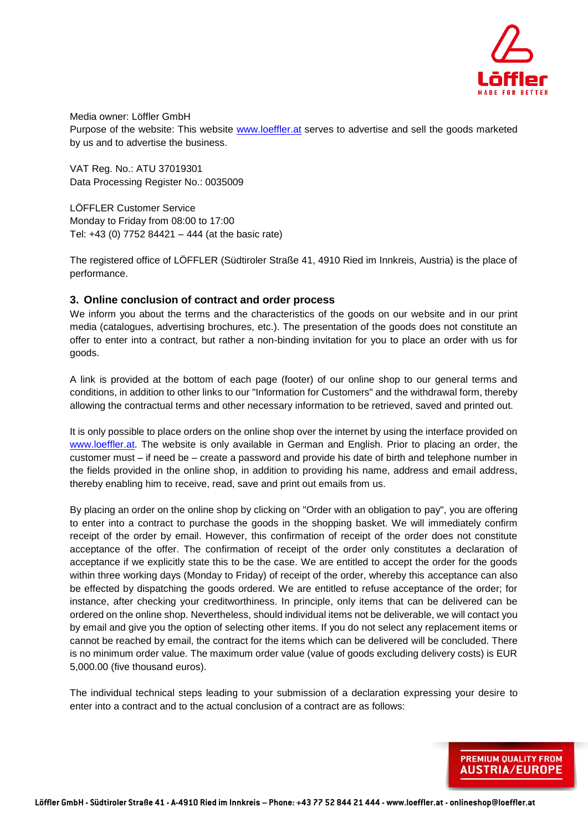

Media owner: Löffler GmbH Purpose of the website: This website [www.loeffler.at](http://www.loeffler.at/) serves to advertise and sell the goods marketed by us and to advertise the business.

VAT Reg. No.: ATU 37019301 Data Processing Register No.: 0035009

LÖFFLER Customer Service Monday to Friday from 08:00 to 17:00 Tel: +43 (0) 7752 84421 – 444 (at the basic rate)

The registered office of LÖFFLER (Südtiroler Straße 41, 4910 Ried im Innkreis, Austria) is the place of performance.

### **3. Online conclusion of contract and order process**

We inform you about the terms and the characteristics of the goods on our website and in our print media (catalogues, advertising brochures, etc.). The presentation of the goods does not constitute an offer to enter into a contract, but rather a non-binding invitation for you to place an order with us for goods.

A link is provided at the bottom of each page (footer) of our online shop to our general terms and conditions, in addition to other links to our "Information for Customers" and the withdrawal form, thereby allowing the contractual terms and other necessary information to be retrieved, saved and printed out.

It is only possible to place orders on the online shop over the internet by using the interface provided on [www.loeffler.at.](http://www.loeffler.at/) The website is only available in German and English. Prior to placing an order, the customer must – if need be – create a password and provide his date of birth and telephone number in the fields provided in the online shop, in addition to providing his name, address and email address, thereby enabling him to receive, read, save and print out emails from us.

By placing an order on the online shop by clicking on "Order with an obligation to pay", you are offering to enter into a contract to purchase the goods in the shopping basket. We will immediately confirm receipt of the order by email. However, this confirmation of receipt of the order does not constitute acceptance of the offer. The confirmation of receipt of the order only constitutes a declaration of acceptance if we explicitly state this to be the case. We are entitled to accept the order for the goods within three working days (Monday to Friday) of receipt of the order, whereby this acceptance can also be effected by dispatching the goods ordered. We are entitled to refuse acceptance of the order; for instance, after checking your creditworthiness. In principle, only items that can be delivered can be ordered on the online shop. Nevertheless, should individual items not be deliverable, we will contact you by email and give you the option of selecting other items. If you do not select any replacement items or cannot be reached by email, the contract for the items which can be delivered will be concluded. There is no minimum order value. The maximum order value (value of goods excluding delivery costs) is EUR 5,000.00 (five thousand euros).

The individual technical steps leading to your submission of a declaration expressing your desire to enter into a contract and to the actual conclusion of a contract are as follows:

> PREMIUM QUALITY FROM **AUSTRIA/EUROPE**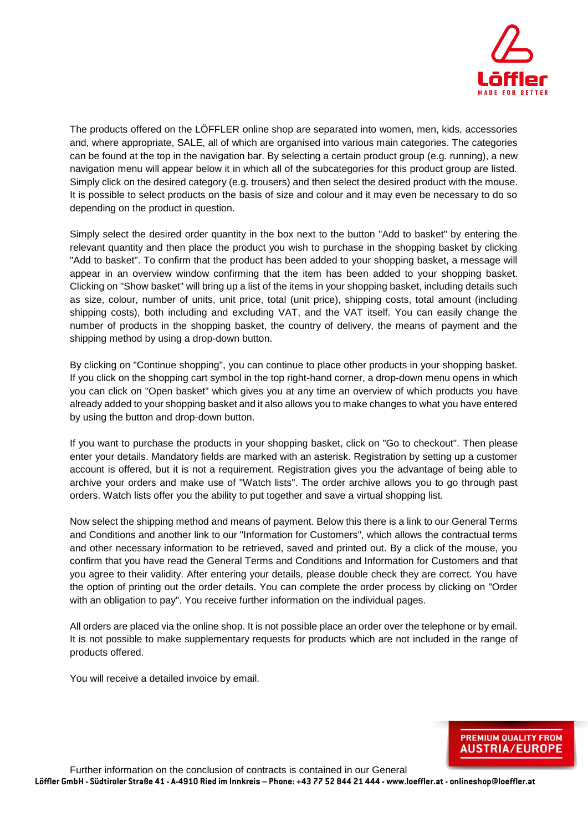

The products offered on the LÖFFLER online shop are separated into women, men, kids, accessories and, where appropriate, SALE, all of which are organised into various main categories. The categories can be found at the top in the navigation bar. By selecting a certain product group (e.g. running), a new navigation menu will appear below it in which all of the subcategories for this product group are listed. Simply click on the desired category (e.g. trousers) and then select the desired product with the mouse. It is possible to select products on the basis of size and colour and it may even be necessary to do so depending on the product in question.

Simply select the desired order quantity in the box next to the button "Add to basket" by entering the relevant quantity and then place the product you wish to purchase in the shopping basket by clicking "Add to basket". To confirm that the product has been added to your shopping basket, a message will appear in an overview window confirming that the item has been added to your shopping basket. Clicking on "Show basket" will bring up a list of the items in your shopping basket, including details such as size, colour, number of units, unit price, total (unit price), shipping costs, total amount (including shipping costs), both including and excluding VAT, and the VAT itself. You can easily change the number of products in the shopping basket, the country of delivery, the means of payment and the shipping method by using a drop-down button.

By clicking on "Continue shopping", you can continue to place other products in your shopping basket. If you click on the shopping cart symbol in the top right-hand corner, a drop-down menu opens in which you can click on "Open basket" which gives you at any time an overview of which products you have already added to your shopping basket and it also allows you to make changes to what you have entered by using the button and drop-down button.

If you want to purchase the products in your shopping basket, click on "Go to checkout". Then please enter your details. Mandatory fields are marked with an asterisk. Registration by setting up a customer account is offered, but it is not a requirement. Registration gives you the advantage of being able to archive your orders and make use of "Watch lists". The order archive allows you to go through past orders. Watch lists offer you the ability to put together and save a virtual shopping list.

Now select the shipping method and means of payment. Below this there is a link to our General Terms and Conditions and another link to our "Information for Customers", which allows the contractual terms and other necessary information to be retrieved, saved and printed out. By a click of the mouse, you confirm that you have read the General Terms and Conditions and Information for Customers and that you agree to their validity. After entering your details, please double check they are correct. You have the option of printing out the order details. You can complete the order process by clicking on "Order with an obligation to pay". You receive further information on the individual pages.

All orders are placed via the online shop. It is not possible place an order over the telephone or by email. It is not possible to make supplementary requests for products which are not included in the range of products offered.

You will receive a detailed invoice by email.

**PREMIUM QUALITY FROM AUSTRIA/EUROPE**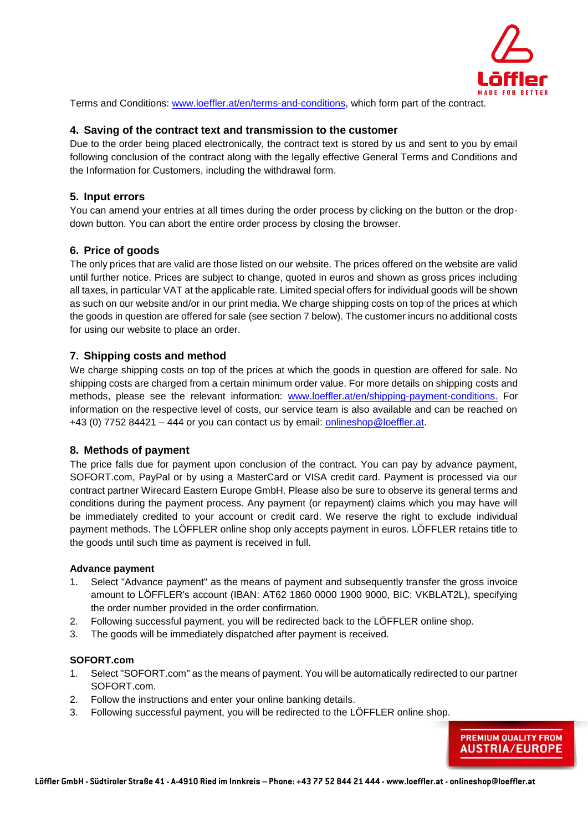

Terms and Conditions: [www.loeffler.at/en/terms-](http://www.loeffler.at/en/terms)and-conditions, which form part of the contract.

### **4. Saving of the contract text and transmission to the customer**

Due to the order being placed electronically, the contract text is stored by us and sent to you by email following conclusion of the contract along with the legally effective General Terms and Conditions and the Information for Customers, including the withdrawal form.

# **5. Input errors**

You can amend your entries at all times during the order process by clicking on the button or the dropdown button. You can abort the entire order process by closing the browser.

### **6. Price of goods**

The only prices that are valid are those listed on our website. The prices offered on the website are valid until further notice. Prices are subject to change, quoted in euros and shown as gross prices including all taxes, in particular VAT at the applicable rate. Limited special offers for individual goods will be shown as such on our website and/or in our print media. We charge shipping costs on top of the prices at which the goods in question are offered for sale (see section 7 below). The customer incurs no additional costs for using our website to place an order.

### **7. Shipping costs and method**

We charge shipping costs on top of the prices at which the goods in question are offered for sale. No shipping costs are charged from a certain minimum order value. For more details on shipping costs and methods, please see the relevant information: [www.loeffler.at/en/shipping-payment-conditions.](http://www.loeffler.at/en/shipping-payment-conditions.) For information on the respective level of costs, our service team is also available and can be reached on +43 (0) 7752 84421 – 444 or you can contact us by email: [onlineshop@loeffler.at.](mailto:shop@loeffler.at)

#### **8. Methods of payment**

The price falls due for payment upon conclusion of the contract. You can pay by advance payment, SOFORT.com, PayPal or by using a MasterCard or VISA credit card. Payment is processed via our contract partner Wirecard Eastern Europe GmbH. Please also be sure to observe its general terms and conditions during the payment process. Any payment (or repayment) claims which you may have will be immediately credited to your account or credit card. We reserve the right to exclude individual payment methods. The LÖFFLER online shop only accepts payment in euros. LÖFFLER retains title to the goods until such time as payment is received in full.

#### **Advance payment**

- 1. Select "Advance payment" as the means of payment and subsequently transfer the gross invoice amount to LÖFFLER's account (IBAN: AT62 1860 0000 1900 9000, BIC: VKBLAT2L), specifying the order number provided in the order confirmation.
- 2. Following successful payment, you will be redirected back to the LÖFFLER online shop.
- 3. The goods will be immediately dispatched after payment is received.

#### **SOFORT.com**

- 1. Select "SOFORT.com" as the means of payment. You will be automatically redirected to our partner SOFORT.com.
- 2. Follow the instructions and enter your online banking details.
- 3. Following successful payment, you will be redirected to the LÖFFLER online shop.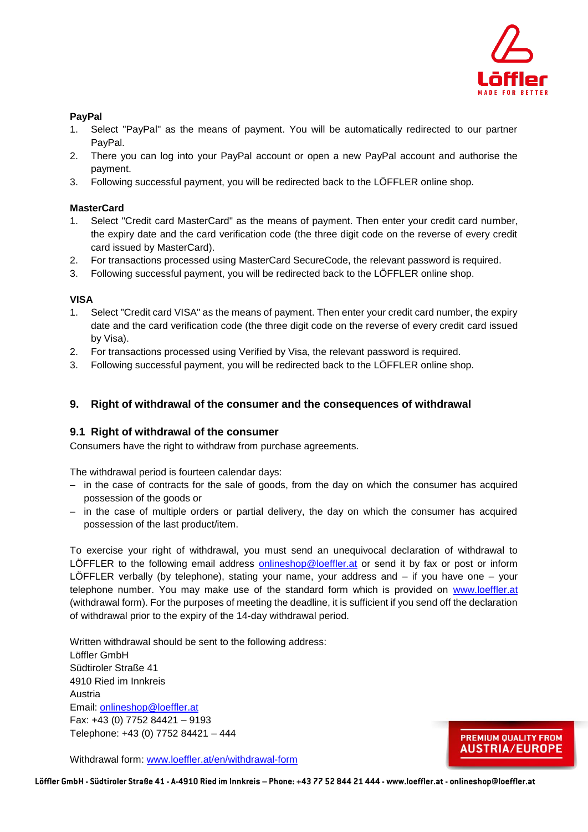

#### **PayPal**

- 1. Select "PayPal" as the means of payment. You will be automatically redirected to our partner PayPal.
- 2. There you can log into your PayPal account or open a new PayPal account and authorise the payment.
- 3. Following successful payment, you will be redirected back to the LÖFFLER online shop.

#### **MasterCard**

- 1. Select "Credit card MasterCard" as the means of payment. Then enter your credit card number, the expiry date and the card verification code (the three digit code on the reverse of every credit card issued by MasterCard).
- 2. For transactions processed using MasterCard SecureCode, the relevant password is required.
- 3. Following successful payment, you will be redirected back to the LÖFFLER online shop.

#### **VISA**

- 1. Select "Credit card VISA" as the means of payment. Then enter your credit card number, the expiry date and the card verification code (the three digit code on the reverse of every credit card issued by Visa).
- 2. For transactions processed using Verified by Visa, the relevant password is required.
- 3. Following successful payment, you will be redirected back to the LÖFFLER online shop.

# **9. Right of withdrawal of the consumer and the consequences of withdrawal**

#### **9.1 Right of withdrawal of the consumer**

Consumers have the right to withdraw from purchase agreements.

The withdrawal period is fourteen calendar days:

- in the case of contracts for the sale of goods, from the day on which the consumer has acquired possession of the goods or
- in the case of multiple orders or partial delivery, the day on which the consumer has acquired possession of the last product/item.

To exercise your right of withdrawal, you must send an unequivocal declaration of withdrawal to LÖFFLER to the following email address [onlineshop@loeffler.at](mailto:shop@loeffler.at) or send it by fax or post or inform LÖFFLER verbally (by telephone), stating your name, your address and – if you have one – your telephone number. You may make use of the standard form which is provided on [www.loeffler.at](http://www.loeffler.at/) (withdrawal form). For the purposes of meeting the deadline, it is sufficient if you send off the declaration of withdrawal prior to the expiry of the 14-day withdrawal period.

Written withdrawal should be sent to the following address: Löffler GmbH Südtiroler Straße 41 4910 Ried im Innkreis Austria Email: [onlineshop@loeffler.at](mailto:shop@loeffler.at) Fax: +43 (0) 7752 84421 – 9193 Telephone: +43 (0) 7752 84421 – 444

Withdrawal form: [www.loeffler.at/en/withd](http://www.loeffler.at/en/with)rawal-form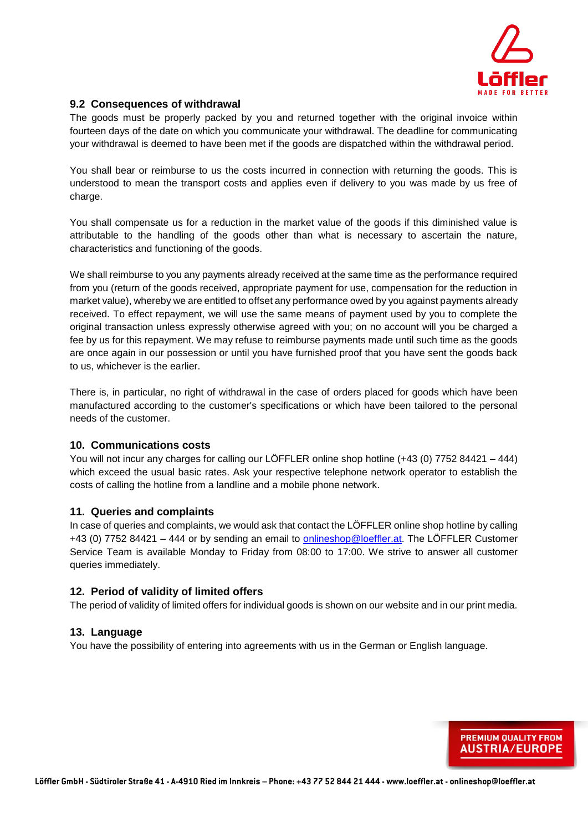

# **9.2 Consequences of withdrawal**

The goods must be properly packed by you and returned together with the original invoice within fourteen days of the date on which you communicate your withdrawal. The deadline for communicating your withdrawal is deemed to have been met if the goods are dispatched within the withdrawal period.

You shall bear or reimburse to us the costs incurred in connection with returning the goods. This is understood to mean the transport costs and applies even if delivery to you was made by us free of charge.

You shall compensate us for a reduction in the market value of the goods if this diminished value is attributable to the handling of the goods other than what is necessary to ascertain the nature, characteristics and functioning of the goods.

We shall reimburse to you any payments already received at the same time as the performance required from you (return of the goods received, appropriate payment for use, compensation for the reduction in market value), whereby we are entitled to offset any performance owed by you against payments already received. To effect repayment, we will use the same means of payment used by you to complete the original transaction unless expressly otherwise agreed with you; on no account will you be charged a fee by us for this repayment. We may refuse to reimburse payments made until such time as the goods are once again in our possession or until you have furnished proof that you have sent the goods back to us, whichever is the earlier.

There is, in particular, no right of withdrawal in the case of orders placed for goods which have been manufactured according to the customer's specifications or which have been tailored to the personal needs of the customer.

#### **10. Communications costs**

You will not incur any charges for calling our LÖFFLER online shop hotline (+43 (0) 7752 84421 – 444) which exceed the usual basic rates. Ask your respective telephone network operator to establish the costs of calling the hotline from a landline and a mobile phone network.

#### **11. Queries and complaints**

In case of queries and complaints, we would ask that contact the LÖFFLER online shop hotline by calling +43 (0) 7752 84421 – 444 or by sending an email to [onlineshop@loeffler.at.](mailto:shop@loeffler.at) The LÖFFLER Customer Service Team is available Monday to Friday from 08:00 to 17:00. We strive to answer all customer queries immediately.

#### **12. Period of validity of limited offers**

The period of validity of limited offers for individual goods is shown on our website and in our print media.

#### **13. Language**

You have the possibility of entering into agreements with us in the German or English language.